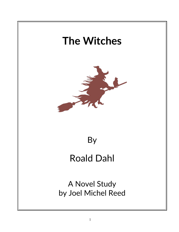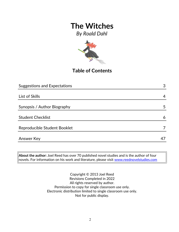*By Roald Dahl*



## **Table of Contents**

| <b>Suggestions and Expectations</b> | 3  |
|-------------------------------------|----|
|                                     |    |
| List of Skills                      | 4  |
|                                     |    |
| Synopsis / Author Biography         | 5  |
|                                     |    |
| <b>Student Checklist</b>            | 6  |
|                                     |    |
| Reproducible Student Booklet        |    |
|                                     |    |
| <b>Answer Key</b>                   | 47 |

**About the author:** Joel Reed has over 70 published novel studies and is the author of four  $|$ novels. For information on his work and literature, please visit [www.reednovelstudies.com](http://www.reednovelstudies.com/)

> Copyright © 2013 Joel Reed Revisions Completed in 2022 All rights reserved by author. Permission to copy for single classroom use only. Electronic distribution limited to single classroom use only. Not for public display.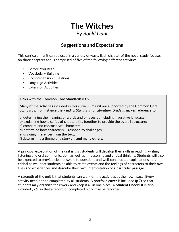# **The Witches** *By Roald Dahl*

### **Suggestions and Expectations**

This curriculum unit can be used in a variety of ways. Each chapter of the novel study focuses on three chapters and is comprised of five of the following different activities:

- Before You Read
- Vocabulary Building
- Comprehension Questions
- Language Activities
- **Extension Activities**

#### **Links with the Common Core Standards (U.S.)**

Many of the activities included in this curriculum unit are supported by the Common Core Standards. For instance the *Reading Standards for Literature, Grade 5*, makes reference to

a) determining the meaning of words and phrases. . . including figurative language;

b) explaining how a series of chapters fits together to provide the overall structure;

c) compare and contrast two characters;

d) determine how characters … respond to challenges;

e) drawing inferences from the text;

f) determining a theme of a story . . . **and many others.**

A principal expectation of the unit is that students will develop their skills in reading, writing, listening and oral communication, as well as in reasoning and critical thinking. Students will also be expected to provide clear answers to questions and well-constructed explanations. It is critical as well that students be able to relate events and the feelings of characters to their own lives and experiences and describe their own interpretation of a particular passage.

A strength of the unit is that students can work on the activities at their own pace. Every activity need not be completed by all students. A **portfolio cover** is included (p.7) so that students may organize their work and keep it all in one place. A **Student Checklist** is also included (p.6) so that a record of completed work may be recorded.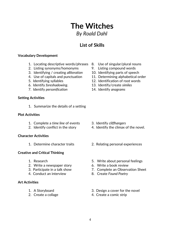# **The Witches** *By Roald Dahl*

## **List of Skills**

#### **Vocabulary Development**

- 1. Locating descriptive words/phrases 8. Use of singular/plural nouns
- 2. Listing synonyms/homonyms 9. Listing compound words
- 3. Identifying / creating *alliteration* 10. Identifying parts of speech
- 
- 
- 
- 7. Identify *personification* 14. Identify *anagrams*

#### **Setting Activities**

1. Summarize the details of a setting

#### **Plot Activities**

- 1. Complete a *time line* of events 3. Identify *cliffhangers*
- 

#### **Character Activities**

#### **Creative and Critical Thinking**

- 
- 2. Write a newspaper story 6. Write a book review
- 
- 4. Conduct an interview 8. Create *Found Poetry*

#### **Art Activities**

- 
- 
- 
- 
- 
- 4. Use of capitals and punctuation 11. Determining alphabetical order
- 5. Identifying syllables 12. Identification of root words
- 6. Identify *foreshadowing*. 13. Identify/create *similes*
	-

- 
- 2. Identify conflict in the story 4. Identify the climax of the novel.
- 1. Determine character traits 2. Relating personal experiences
- 1. Research 5. Write about personal feelings
	-
- 3. Participate in a talk show 7. Complete an Observation Sheet
	-
- 1. A Storyboard 3. Design a cover for the novel
- 2. Create a collage 4. Create a comic strip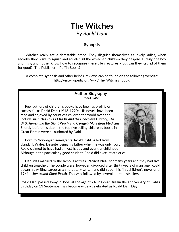# **The Witches** *By Roald Dahl*

### **Synopsis**

 Witches really are a detestable breed. They disguise themselves as lovely ladies, when secretly they want to squish and squelch all the wretched children they despise. Luckily one boy and his grandmother know how to recognize these vile creatures – but can they get rid of them for good? (The Publisher – Puffin Books)

A complete synopsis and other helpful reviews can be found on the following website: http://en.wikipedia.org/wiki/The\_Witches\_(book)

#### **Author Biography** *Roald Dahl*

 Few authors of children's books have been as prolific or successful as **Roald Dahl** (1916-1990). His novels have been read and enjoyed by countless children the world over and include such classics as *Charlie and the Chocolate Factory, The BFG, James and the Giant Peach* and *George's Marvelous Medicine.* Shortly before his death, the top five selling children's books in Great Britain were all authored by Dahl.

 Born to Norwegian immigrants, Roald Dahl hailed from Llandaff, Wales. Despite losing his father when he was only four, Roald claimed to have had a most happy and eventful childhood. Although not a particularly good student, Roald did excel at athletics.



 Dahl was married to the famous actress, **Patricia Neal,** for many years and they had five children together. The couple were, however, divorced after thirty years of marriage. Roald began his writing career as a short story writer, and didn't pen his first children's novel until 1961 – *James and Giant Peach*. This was followed by several more bestsellers.

Roald Dahl passed away in 1990 at the age of 74. In Great Britain the anniversary of Dahl's birthday on [13 September](http://en.wikipedia.org/wiki/September_13) has become widely celebrated as **Roald Dahl Day**.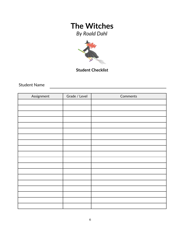*By Roald Dahl*



**Student Checklist**

Student Name

| Assignment | Grade / Level | Comments |
|------------|---------------|----------|
|            |               |          |
|            |               |          |
|            |               |          |
|            |               |          |
|            |               |          |
|            |               |          |
|            |               |          |
|            |               |          |
|            |               |          |
|            |               |          |
|            |               |          |
|            |               |          |
|            |               |          |
|            |               |          |
|            |               |          |
|            |               |          |
|            |               |          |
|            |               |          |
|            |               |          |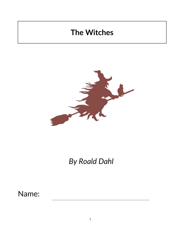

# *By Roald Dahl*

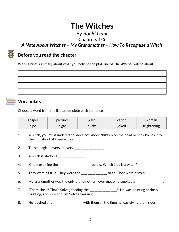### *By Roald Dahl* **Chapters 1***-3*

*A Note About Witches – My Grandmother – How To Recognize a Witch*

### **Before you read the chapter**:

Write a brief summary about what you believe the plot-line of *The Witches* will be about.

### **Vocabulary:**

Choose a word from the list to complete each sentence.

| gospel | pictures | pistol | canon         | woman       |
|--------|----------|--------|---------------|-------------|
| pipe   | cıgar    | ducks  | <u>'</u> oked | frightening |

- 1. A witch, you must understand, does not knock children on the head or stick knives into them or shoot at them with a  $_{\_---}$ \_\_\_\_\_\_\_\_\_\_\_\_\_\_\_\_\_.
- 2. These magic powers are very \_\_\_\_\_\_\_\_\_\_\_\_\_\_\_\_\_\_.
- 3. A witch is always a \_\_\_\_\_\_\_\_\_\_\_\_\_\_\_.
- 4. Kindly examine the \_\_\_\_\_\_\_\_\_\_\_\_\_\_\_\_\_\_\_ below. Which lady is a witch?
- 5. They were all true. They were the \_\_\_\_\_\_\_\_\_\_\_\_\_\_\_\_ truth. They were history.
- 6. My grandmother was the only grandmother I ever met who smoked a \_\_\_\_\_\_\_\_\_\_\_\_\_\_.
- 7. "There she is! That's Solveg feeding the \_\_\_\_\_\_\_\_\_\_\_\_\_\_\_\_\_!" He was pointing at the oilpainting, and sure enough Solveg was in it.
- 8. He laughed and \_\_\_\_\_\_\_\_\_\_\_\_\_\_\_\_ with them all the time he was giving them rides.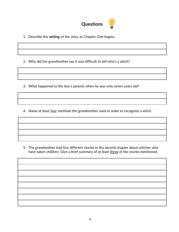

1. Describe the **setting** of the story as Chapter One begins.

2. Why did the grandmother say it was difficult to tell who's a witch?

3. What happened to the boy's parents when he was only seven years old?

4. Name at least four methods the grandmother used in order to recognize a witch.

5. The grandmother told five different stories in the second chapter about witches who have taken children. Give a brief summary of at least three of the stories mentioned.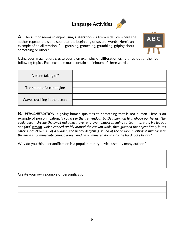# **Language Activities**



**A**. The author seems to enjoy using **alliteration –** a literary device where the author **r**epeats the same sound at the beginning of several words. Here's an example of an alliteration: ". . . **g**rousing, **g**rouching, **g**rumbling, **g**riping about something or other."



Using your imagination, create your own examples of **alliteration** using three out of the five following topics. Each example must contain a minimum of three words.

| A plane taking off           |  |
|------------------------------|--|
| The sound of a car engine    |  |
| Waves crashing in the ocean. |  |

**B.** *PERSONIFICATION* is giving human qualities to something that is not human. Here is an example of personification: "*I could see the tremendous battle raging on high above our heads. The eagle began circling the small red object, over and over, almost seeming to taunt it's prey. He let out one final scream, which echoed swiftly around the canyon walls, then grasped the object firmly in it's razor sharp claws. All of a sudden, the nearly deafening sound of the balloon bursting in mid air sent the eagle into immediate cardiac arrest, and he plummeted down into the hard rocks below."* 

Why do you think personification is a popular literary device used by many authors?

Create your own example of personification.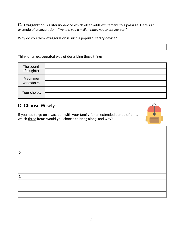**C***.* **Exaggeration** is a literary device which often adds excitement to a passage. Here's an example of exaggeration: *"I've told you a million times not to exaggerate!"*

Why do you think exaggeration is such a popular literary device?

Think of an exaggerated way of describing these things:

| The sound<br>of laughter. |  |
|---------------------------|--|
| A summer<br>windstorm.    |  |
| Your choice.              |  |

### **D. Choose Wisely**

If you had to go on a vacation with your family for an extended period of time, which three items would you choose to bring along, and why?